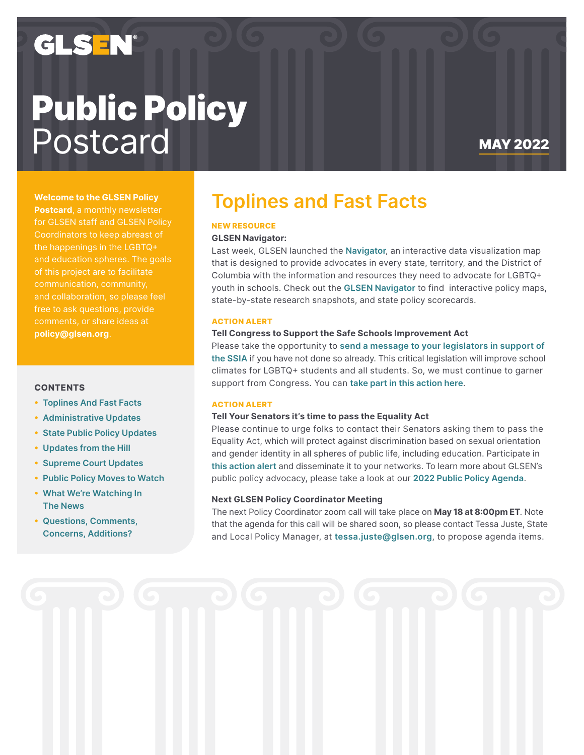## GLS EN®

# Public Policy Postcard MAY 2022

### **Welcome to the GLSEN Policy**

**Postcard**, a monthly newsletter for GLSEN staff and GLSEN Policy the happenings in the LGBTQ+ of this project are to facilitate communication, community, and collaboration, so please feel free to ask questions, provide comments, or share ideas at **policy@glsen.org**.

### **CONTENTS**

- **[• Toplines](#page-0-0) And Fast Facts**
- **•  [Administrative](#page-1-0) Updates**
- **• State Public Policy [Updates](#page-1-1)**
- **•  [Updates](#page-2-0) from the Hill**
- **•  [Supreme](#page-2-1) Court Updates**
- **• Public Policy [Moves](#page-2-2) to Watch**
- **• What We're [Watching](#page-3-0) In The [News](#page-3-0)**
- **• Questions, [Comments,](#page-3-1) Concerns, [Additions?](#page-3-1)**

### <span id="page-0-0"></span>**Toplines and Fast Facts**

### **NEW RESOURCE**

#### **GLSEN Navigator:**

Last week, GLSEN launched the **[Navigator](https://maps.glsen.org/)**, an interactive data visualization map that is designed to provide advocates in every state, territory, and the District of Columbia with the information and resources they need to advocate for LGBTQ+ youth in schools. Check out the **GLSEN [Navigator](https://maps.glsen.org/)** to find interactive policy maps, state-by-state research snapshots, and state policy scorecards.

#### **ACTION ALERT**

### **Tell Congress to Support the Safe Schools Improvement Act**

Please take the opportunity to **send a message to your [legislators](https://act.glsen.org/onlineactions/c4Iup4lxzEC1KF4xHybEPg2) in support of the [SSIA](https://act.glsen.org/onlineactions/c4Iup4lxzEC1KF4xHybEPg2)** if you have not done so already. This critical legislation will improve school climates for LGBTQ+ students and all students. So, we must continue to garner support from Congress. You can **take part in this [action](https://act.glsen.org/onlineactions/c4Iup4lxzEC1KF4xHybEPg2) here**.

### **ACTION ALERT**

### **Tell Your Senators it's time to pass the Equality Act**

Please continue to urge folks to contact their Senators asking them to pass the Equality Act, which will protect against discrimination based on sexual orientation and gender identity in all spheres of public life, including education. Participate in **this [action](https://act.glsen.org/a/equalityact) alert** and disseminate it to your networks. To learn more about GLSEN's public policy advocacy, please take a look at our **2022 Public Policy [Agenda](https://www.glsen.org/activity/public-policy-agenda-inclusive-schools-lgbtq-students)**.

### **Next GLSEN Policy Coordinator Meeting**

The next Policy Coordinator zoom call will take place on **May 18 at 8:00pm ET**. Note that the agenda for this call will be shared soon, so please contact Tessa Juste, State and Local Policy Manager, at **[tessa.juste@glsen.org](mailto:tessa.juste%40glsen.org?subject=)**, to propose agenda items.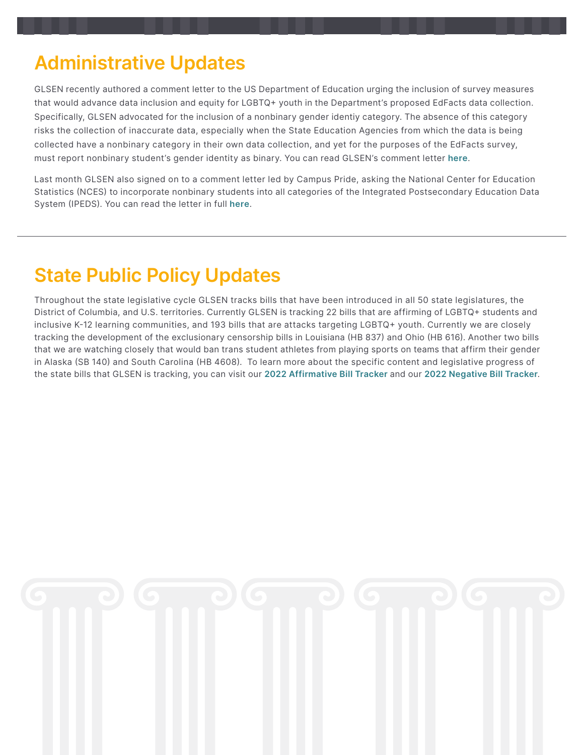### <span id="page-1-0"></span>**Administrative Updates**

GLSEN recently authored a comment letter to the US Department of Education urging the inclusion of survey measures that would advance data inclusion and equity for LGBTQ+ youth in the Department's proposed EdFacts data collection. Specifically, GLSEN advocated for the inclusion of a nonbinary gender identiy category. The absence of this category risks the collection of inaccurate data, especially when the State Education Agencies from which the data is being collected have a nonbinary category in their own data collection, and yet for the purposes of the EdFacts survey, must report nonbinary student's gender identity as binary. You can read GLSEN's comment letter **[here](https://drive.google.com/file/d/13h_dzIl2fDvcTHjjsKBhaiaTRRfp48wi/view?usp=sharing)**.

Last month GLSEN also signed on to a comment letter led by Campus Pride, asking the National Center for Education Statistics (NCES) to incorporate nonbinary students into all categories of the Integrated Postsecondary Education Data System (IPEDS). You can read the letter in full **[here](https://www.campuspride.org/49432-2/)**.

### <span id="page-1-1"></span>**State Public Policy Updates**

Throughout the state legislative cycle GLSEN tracks bills that have been introduced in all 50 state legislatures, the District of Columbia, and U.S. territories. Currently GLSEN is tracking 22 bills that are affirming of LGBTQ+ students and inclusive K-12 learning communities, and 193 bills that are attacks targeting LGBTQ+ youth. Currently we are closely tracking the development of the exclusionary censorship bills in Louisiana (HB 837) and Ohio (HB 616). Another two bills that we are watching closely that would ban trans student athletes from playing sports on teams that affirm their gender in Alaska (SB 140) and South Carolina (HB 4608). To learn more about the specific content and legislative progress of the state bills that GLSEN is tracking, you can visit our **2022 [Affirmative](https://www.quorum.us/spreadsheet/external/iReKwPBVfLCkNCVjNVil/) Bill Tracker** and our **2022 [Negative](https://www.quorum.us/spreadsheet/external/kGcJEDszYZKjKIXwHHpI/) Bill Tracker**.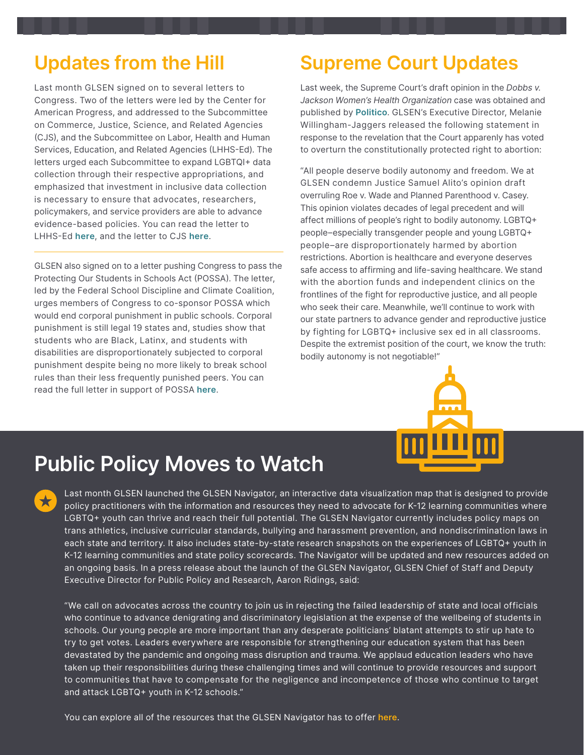## <span id="page-2-0"></span>**Updates from the Hill**

Last month GLSEN signed on to several letters to Congress. Two of the letters were led by the Center for American Progress, and addressed to the Subcommittee on Commerce, Justice, Science, and Related Agencies (CJS), and the Subcommittee on Labor, Health and Human Services, Education, and Related Agencies (LHHS-Ed). The letters urged each Subcommittee to expand LGBTQI+ data collection through their respective appropriations, and emphasized that investment in inclusive data collection is necessary to ensure that advocates, researchers, policymakers, and service providers are able to advance evidence-based policies. You can read the letter to LHHS-Ed **[here](https://docs.google.com/document/d/1ot02MhcAuBASsNSjysvzaP1Kz_s9wZbp/edit?usp=sharing&ouid=101248998005130387237&rtpof=true&sd=true)**, and the letter to CJS **[here](https://docs.google.com/document/d/1tbdwBmc_HqOTf12AtDNcQA_4NEnYKQ-D/edit?usp=sharing&ouid=101248998005130387237&rtpof=true&sd=true)**.

GLSEN also signed on to a letter pushing Congress to pass the Protecting Our Students in Schools Act (POSSA). The letter, led by the Federal School Discipline and Climate Coalition, urges members of Congress to co-sponsor POSSA which would end corporal punishment in public schools. Corporal punishment is still legal 19 states and, studies show that students who are Black, Latinx, and students with disabilities are disproportionately subjected to corporal punishment despite being no more likely to break school rules than their less frequently punished peers. You can read the full letter in support of POSSA **[here](https://drive.google.com/file/d/14vo6Wk0U-sTbD7bKzGtQ7LH58h3Cr0AK/view?usp=sharing)**.

## <span id="page-2-1"></span>**Supreme Court Updates**

Last week, the Supreme Court's draft opinion in the *Dobbs v. Jackson Women's Health Organization* case was obtained and published by **[Politico](https://www.politico.com/news/2022/05/02/supreme-court-abortion-draft-opinion-00029473)**. GLSEN's Executive Director, Melanie Willingham-Jaggers released the following statement in response to the revelation that the Court apparenly has voted to overturn the constitutionally protected right to abortion:

"All people deserve bodily autonomy and freedom. We at GLSEN condemn Justice Samuel Alito's opinion draft overruling Roe v. Wade and Planned Parenthood v. Casey. This opinion violates decades of legal precedent and will affect millions of people's right to bodily autonomy. LGBTQ+ people–especially transgender people and young LGBTQ+ people–are disproportionately harmed by abortion restrictions. Abortion is healthcare and everyone deserves safe access to affirming and life-saving healthcare. We stand with the abortion funds and independent clinics on the frontlines of the fight for reproductive justice, and all people who seek their care. Meanwhile, we'll continue to work with our state partners to advance gender and reproductive justice by fighting for LGBTQ+ inclusive sex ed in all classrooms. Despite the extremist position of the court, we know the truth: bodily autonomy is not negotiable!"



## <span id="page-2-2"></span>**Public Policy Moves to Watch**

 $\bigstar$ 

Last month GLSEN launched the GLSEN Navigator, an interactive data visualization map that is designed to provide policy practitioners with the information and resources they need to advocate for K-12 learning communities where LGBTQ+ youth can thrive and reach their full potential. The GLSEN Navigator currently includes policy maps on trans athletics, inclusive curricular standards, bullying and harassment prevention, and nondiscrimination laws in each state and territory. It also includes state-by-state research snapshots on the experiences of LGBTQ+ youth in K-12 learning communities and state policy scorecards. The Navigator will be updated and new resources added on an ongoing basis. In a press release about the launch of the GLSEN Navigator, GLSEN Chief of Staff and Deputy Executive Director for Public Policy and Research, Aaron Ridings, said:

"We call on advocates across the country to join us in rejecting the failed leadership of state and local officials who continue to advance denigrating and discriminatory legislation at the expense of the wellbeing of students in schools. Our young people are more important than any desperate politicians' blatant attempts to stir up hate to try to get votes. Leaders everywhere are responsible for strengthening our education system that has been devastated by the pandemic and ongoing mass disruption and trauma. We applaud education leaders who have taken up their responsibilities during these challenging times and will continue to provide resources and support to communities that have to compensate for the negligence and incompetence of those who continue to target and attack LGBTQ+ youth in K-12 schools."

You can explore all of the resources that the GLSEN Navigator has to offer **[here](https://maps.glsen.org/)**.